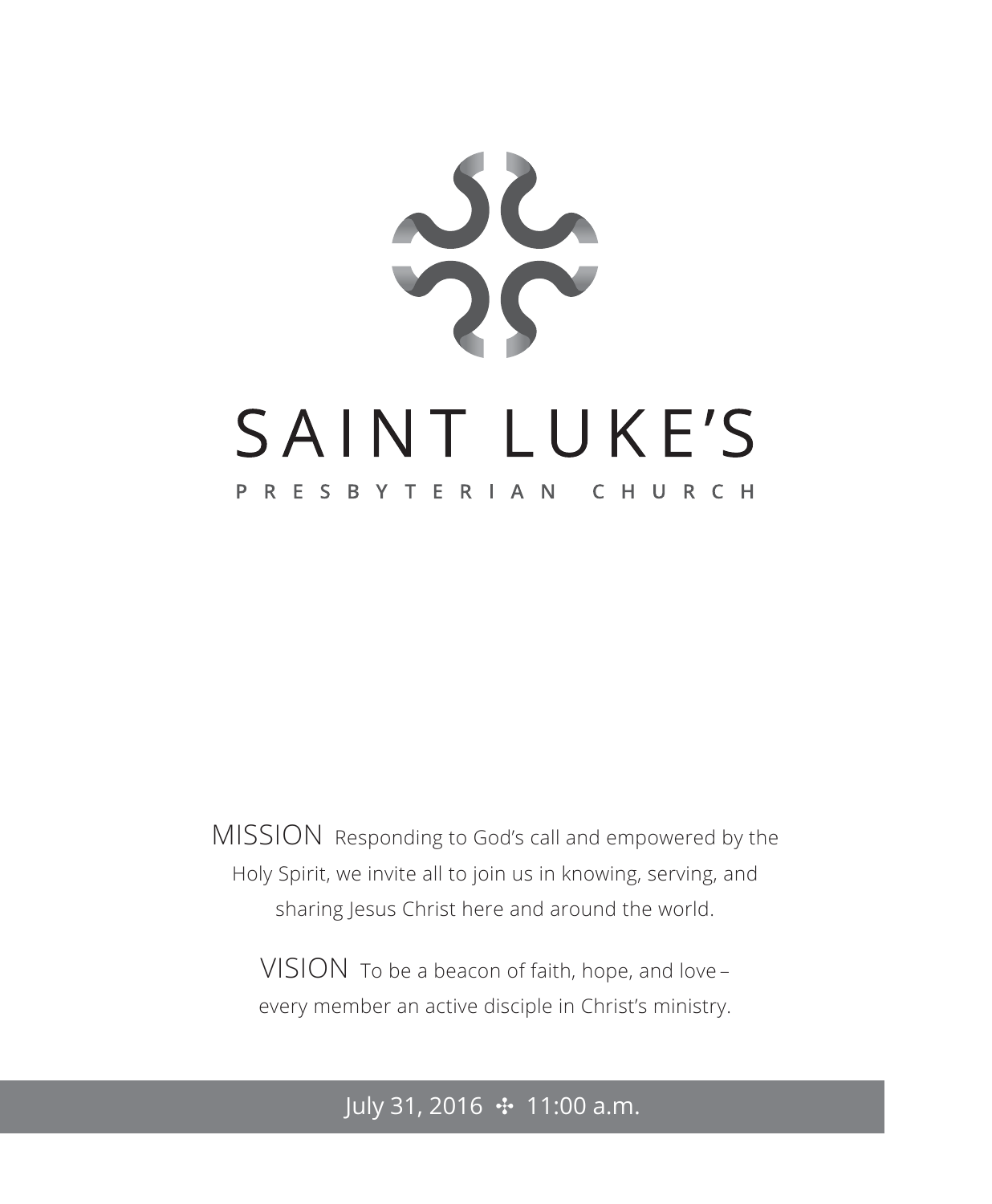

MISSION Responding to God's call and empowered by the Holy Spirit, we invite all to join us in knowing, serving, and sharing Jesus Christ here and around the world.

VISION To be a beacon of faith, hope, and love – every member an active disciple in Christ's ministry.

# July 31, 2016 ✣ 11:00 a.m.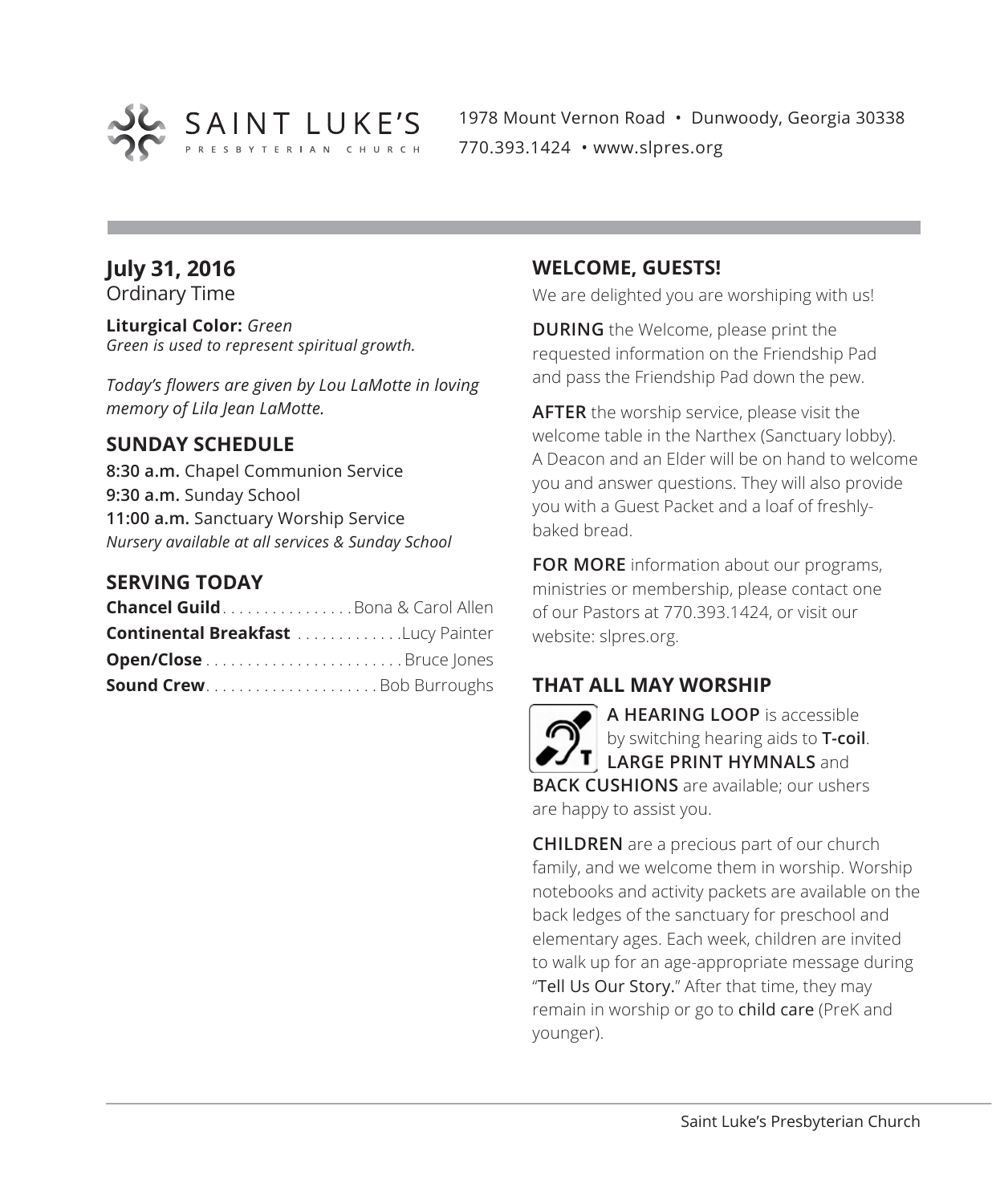

1978 Mount Vernon Road • Dunwoody, Georgia 30338 770.393.1424 • www.slpres.org

# **July 31, 2016**

Ordinary Time

**Liturgical Color:** *Green Green is used to represent spiritual growth.* 

*Today's flowers are given by Lou LaMotte in loving memory of Lila Jean LaMotte.*

# **SUNDAY SCHEDULE**

**8:30 a.m.** Chapel Communion Service **9:30 a.m.** Sunday School **11:00 a.m.** Sanctuary Worship Service *Nursery available at all services & Sunday School*

### **SERVING TODAY**

| <b>Chancel Guild</b> Bona & Carol Allen   |  |
|-------------------------------------------|--|
| <b>Continental Breakfast Lucy Painter</b> |  |
|                                           |  |
| <b>Sound CrewBob Burroughs</b>            |  |

### **WELCOME, GUESTS!**

We are delighted you are worshiping with us!

**DURING** the Welcome, please print the requested information on the Friendship Pad and pass the Friendship Pad down the pew.

**AFTER** the worship service, please visit the welcome table in the Narthex (Sanctuary lobby). A Deacon and an Elder will be on hand to welcome you and answer questions. They will also provide you with a Guest Packet and a loaf of freshlybaked bread.

**FOR MORE** information about our programs, ministries or membership, please contact one of our Pastors at 770.393.1424, or visit our website: slpres.org.

# **THAT ALL MAY WORSHIP**

**A HEARING LOOP** is accessible by switching hearing aids to **T-coil**. **LARGE PRINT HYMNALS** and **BACK CUSHIONS** are available; our ushers are happy to assist you.

**CHILDREN** are a precious part of our church family, and we welcome them in worship. Worship notebooks and activity packets are available on the back ledges of the sanctuary for preschool and elementary ages. Each week, children are invited to walk up for an age-appropriate message during "Tell Us Our Story." After that time, they may remain in worship or go to child care (PreK and younger).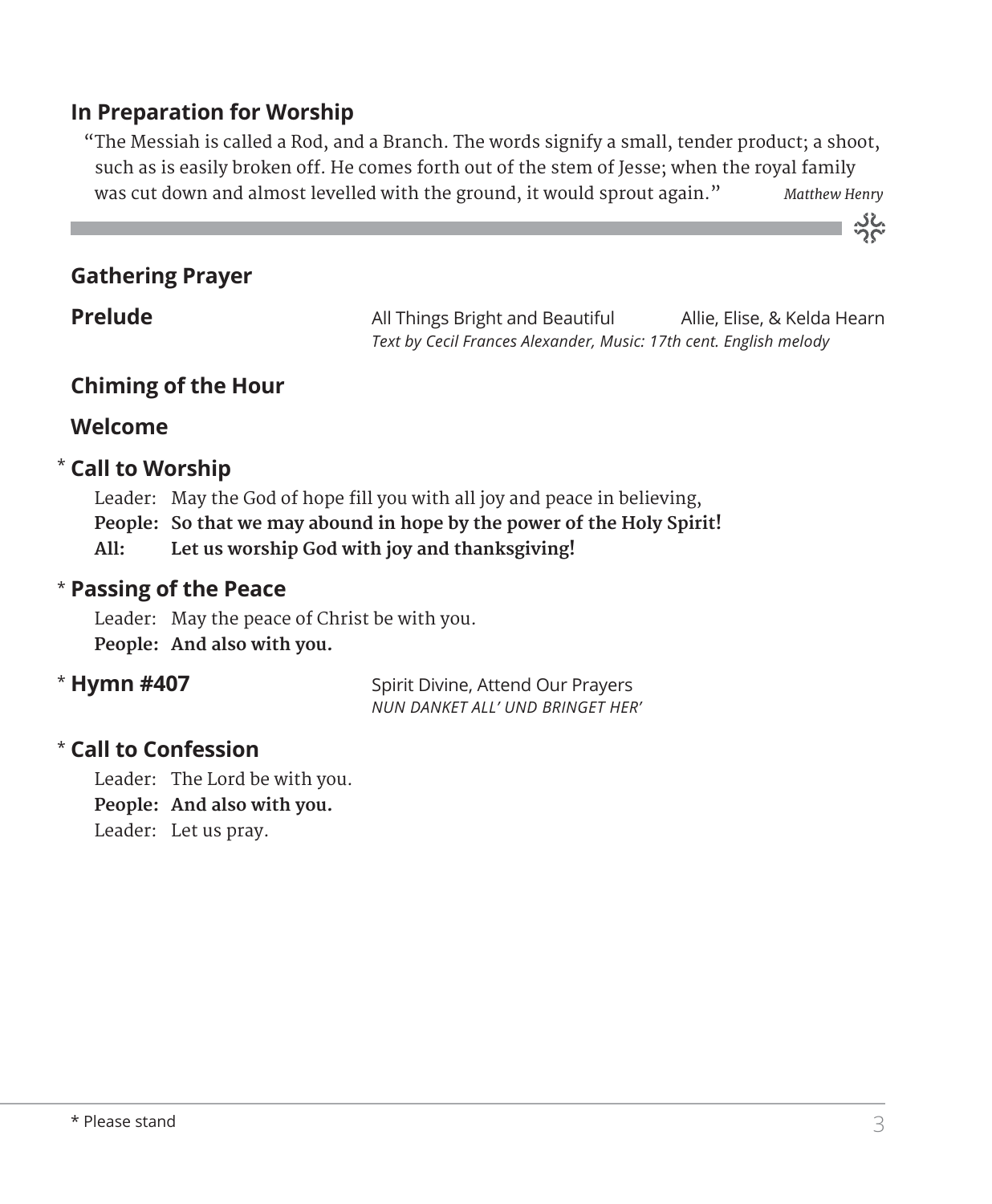# **In Preparation for Worship**

 "The Messiah is called a Rod, and a Branch. The words signify a small, tender product; a shoot, such as is easily broken off. He comes forth out of the stem of Jesse; when the royal family was cut down and almost levelled with the ground, it would sprout again." *Matthew Henry* 

# **Gathering Prayer**

**Prelude** All Things Bright and Beautiful Allie, Elise, & Kelda Hearn *Text by Cecil Frances Alexander, Music: 17th cent. English melody*

# **Chiming of the Hour**

# **Welcome**

# $^{\star}$  Call to Worship

 Leader: May the God of hope fill you with all joy and peace in believing, **People: So that we may abound in hope by the power of the Holy Spirit! All: Let us worship God with joy and thanksgiving!**

# **Passing of the Peace** \*

Leader: May the peace of Christ be with you. **People: And also with you.**

# \* Hymn #407

**Spirit Divine, Attend Our Prayers** *NUN DANKET ALL' UND BRINGET HER'*

# **Call to Confession**  \*

Leader: The Lord be with you. **People: And also with you.** Leader: Let us pray.

သိုင်္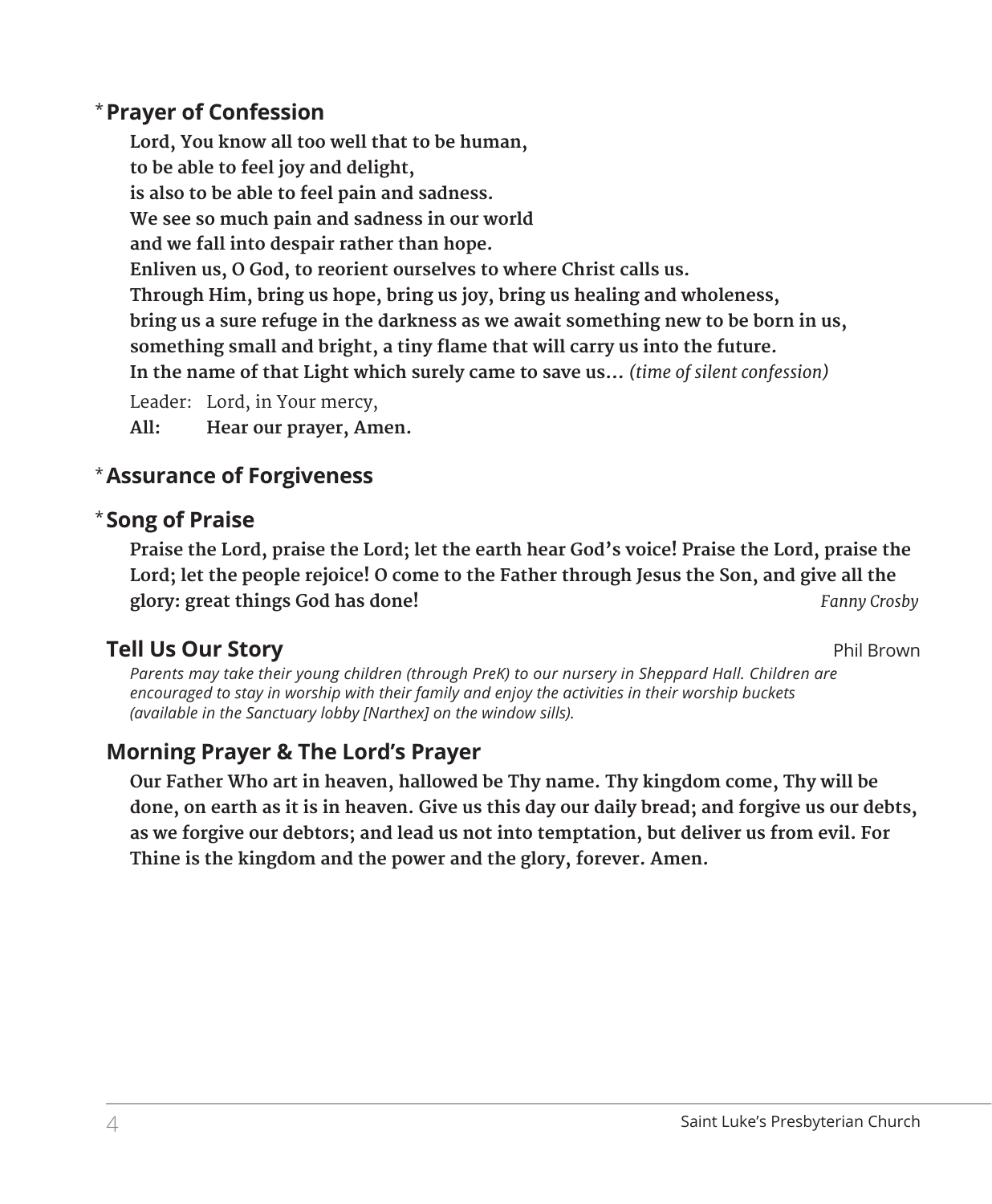# **Prayer of Confession**  \*

 **Lord, You know all too well that to be human, to be able to feel joy and delight, is also to be able to feel pain and sadness. We see so much pain and sadness in our world and we fall into despair rather than hope. Enliven us, O God, to reorient ourselves to where Christ calls us. Through Him, bring us hope, bring us joy, bring us healing and wholeness, bring us a sure refuge in the darkness as we await something new to be born in us, something small and bright, a tiny flame that will carry us into the future. In the name of that Light which surely came to save us...** *(time of silent confession)* Leader: Lord, in Your mercy,

**All: Hear our prayer, Amen.**

# **Assurance of Forgiveness** \*

# **Song of Praise**  \*

 **Praise the Lord, praise the Lord; let the earth hear God's voice! Praise the Lord, praise the Lord; let the people rejoice! O come to the Father through Jesus the Son, and give all the glory: great things God has done!** *Fanny Crosby*

# **Tell Us Our Story** Phil Brown

*Parents may take their young children (through PreK) to our nursery in Sheppard Hall. Children are encouraged to stay in worship with their family and enjoy the activities in their worship buckets (available in the Sanctuary lobby [Narthex] on the window sills).*

# **Morning Prayer & The Lord's Prayer**

 **Our Father Who art in heaven, hallowed be Thy name. Thy kingdom come, Thy will be done, on earth as it is in heaven. Give us this day our daily bread; and forgive us our debts, as we forgive our debtors; and lead us not into temptation, but deliver us from evil. For Thine is the kingdom and the power and the glory, forever. Amen.**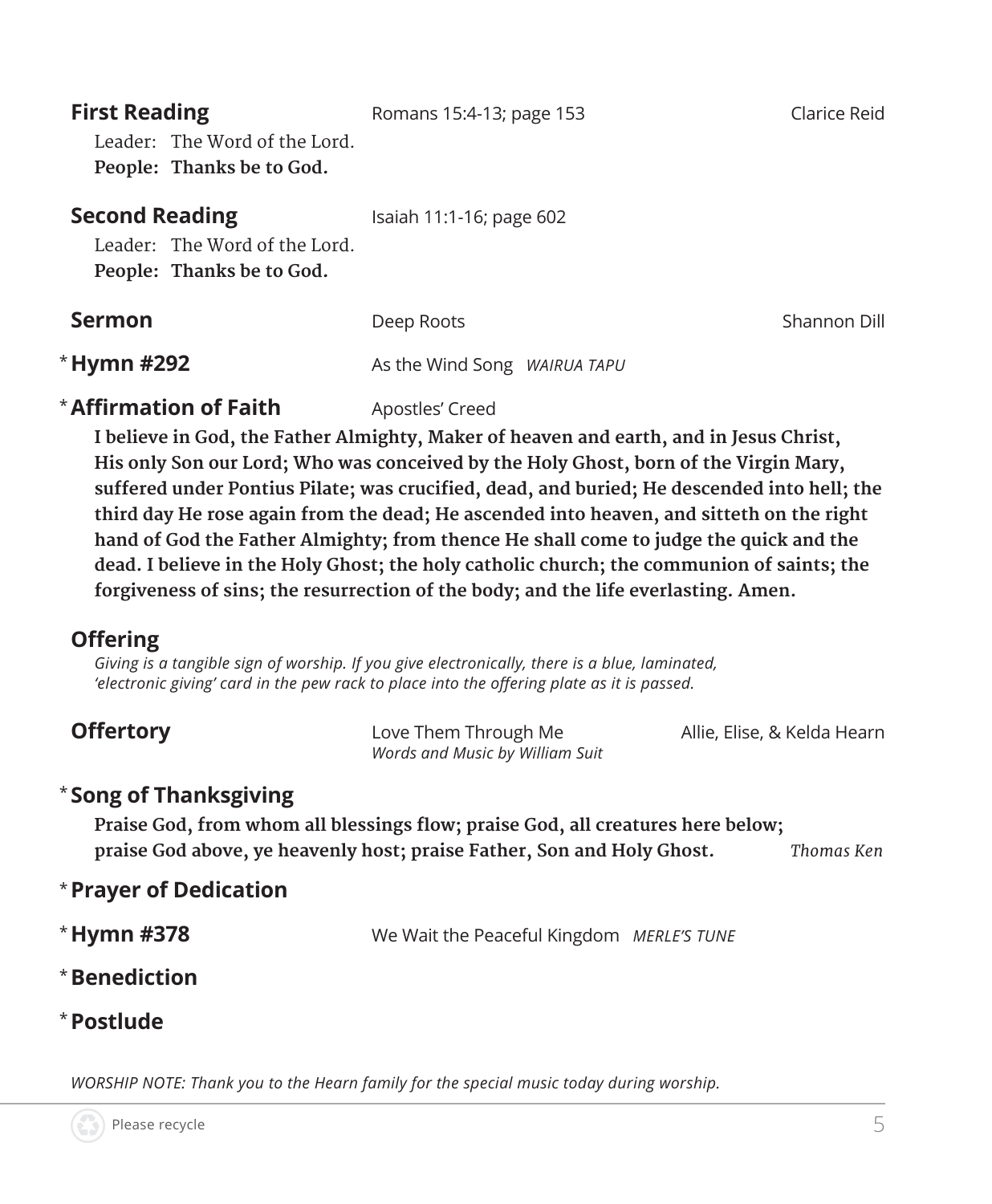| <b>First Reading</b><br>Leader: The Word of the Lord.<br>People: Thanks be to God.  | Romans 15:4-13; page 153     | Clarice Reid |
|-------------------------------------------------------------------------------------|------------------------------|--------------|
| <b>Second Reading</b><br>Leader: The Word of the Lord.<br>People: Thanks be to God. | Isaiah 11:1-16; page 602     |              |
| <b>Sermon</b>                                                                       | Deep Roots                   | Shannon Dill |
| * Hymn #292                                                                         | As the Wind Song WAIRUA TAPU |              |

# **\* Affirmation of Faith** Apostles' Creed

 **I believe in God, the Father Almighty, Maker of heaven and earth, and in Jesus Christ, His only Son our Lord; Who was conceived by the Holy Ghost, born of the Virgin Mary, suffered under Pontius Pilate; was crucified, dead, and buried; He descended into hell; the third day He rose again from the dead; He ascended into heaven, and sitteth on the right hand of God the Father Almighty; from thence He shall come to judge the quick and the dead. I believe in the Holy Ghost; the holy catholic church; the communion of saints; the forgiveness of sins; the resurrection of the body; and the life everlasting. Amen.**

# **Offering**

*Giving is a tangible sign of worship. If you give electronically, there is a blue, laminated, 'electronic giving' card in the pew rack to place into the offering plate as it is passed.* 

| <b>Offertory</b> | Love Them Through Me            | Allie, Elise, & Kelda Hearn |
|------------------|---------------------------------|-----------------------------|
|                  | Words and Music by William Suit |                             |

# \* **Song of Thanksgiving**

**Praise God, from whom all blessings flow; praise God, all creatures here below; praise God above, ye heavenly host; praise Father, Son and Holy Ghost.** *Thomas Ken*

- \* **Prayer of Dedication**
- \*Hymn #378 We Wait the Peaceful Kingdom *MERLE'S TUNE*
- \* **Benediction**
- \* **Postlude**

*WORSHIP NOTE: Thank you to the Hearn family for the special music today during worship.*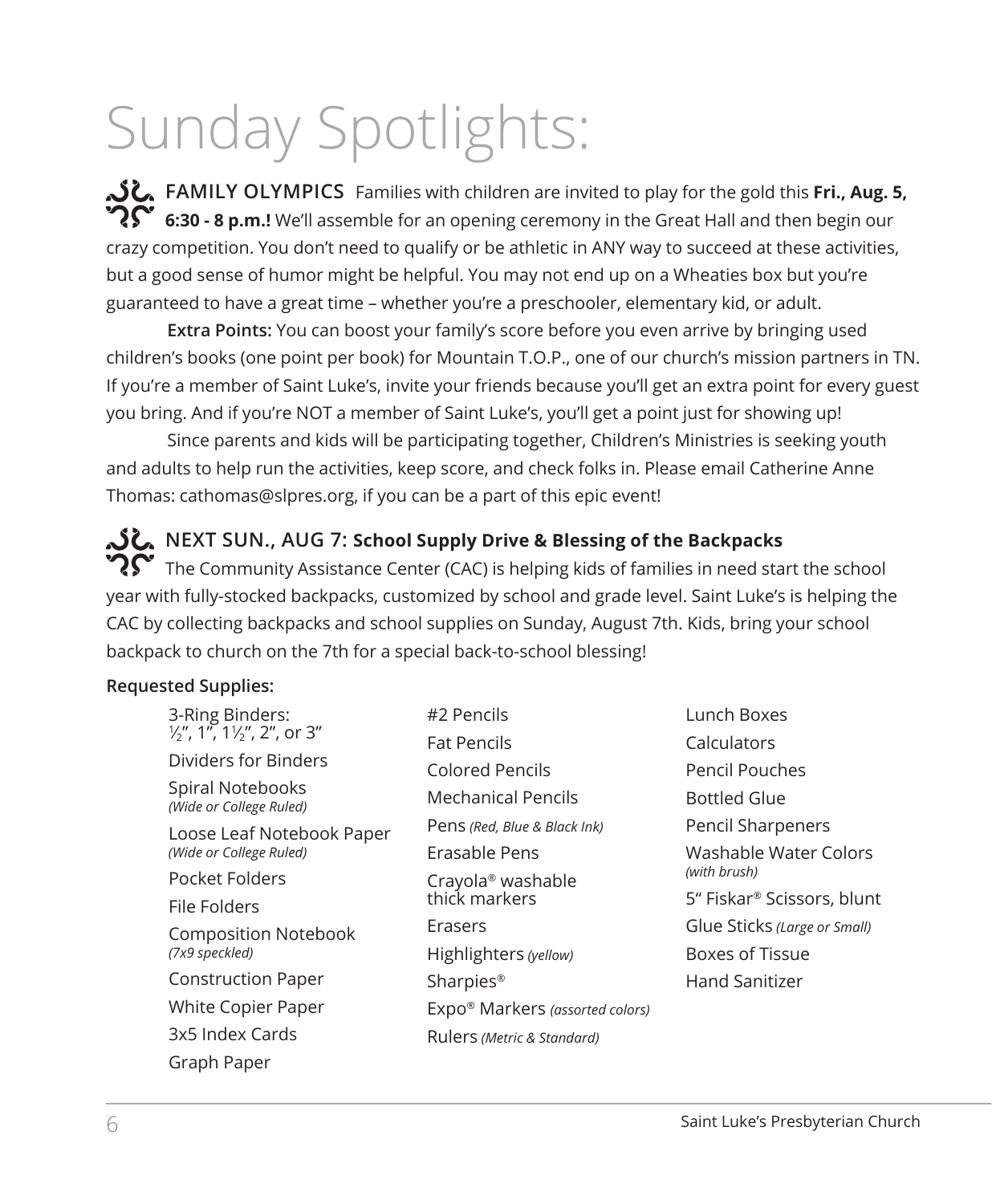# Sunday Spotlights:

**FAMILY OLYMPICS** Families with children are invited to play for the gold this **Fri., Aug. 5,**   $\boldsymbol{R}$  6:30 - 8 p.m.! We'll assemble for an opening ceremony in the Great Hall and then begin our crazy competition. You don't need to qualify or be athletic in ANY way to succeed at these activities, but a good sense of humor might be helpful. You may not end up on a Wheaties box but you're guaranteed to have a great time – whether you're a preschooler, elementary kid, or adult.

**Extra Points:** You can boost your family's score before you even arrive by bringing used children's books (one point per book) for Mountain T.O.P., one of our church's mission partners in TN. If you're a member of Saint Luke's, invite your friends because you'll get an extra point for every guest you bring. And if you're NOT a member of Saint Luke's, you'll get a point just for showing up!

Since parents and kids will be participating together, Children's Ministries is seeking youth and adults to help run the activities, keep score, and check folks in. Please email Catherine Anne Thomas: cathomas@slpres.org, if you can be a part of this epic event!

**NEXT SUN., AUG 7: School Supply Drive & Blessing of the Backpacks**   $\boldsymbol{R}$  The Community Assistance Center (CAC) is helping kids of families in need start the school year with fully-stocked backpacks, customized by school and grade level. Saint Luke's is helping the CAC by collecting backpacks and school supplies on Sunday, August 7th. Kids, bring your school backpack to church on the 7th for a special back-to-school blessing!

### **Requested Supplies:**

| 3-Ring Binders:                                      | #2 Pencils                      |  |
|------------------------------------------------------|---------------------------------|--|
| $\frac{1}{2}$ , 1", 1 $\frac{1}{2}$ ", 2", or 3"     | <b>Fat Pencils</b>              |  |
| Dividers for Binders                                 | Colored Pencils                 |  |
| Spiral Notebooks<br>(Wide or College Ruled)          | Mechanical Pencils              |  |
| Loose Leaf Notebook Paper<br>(Wide or College Ruled) | Pens (Red, Blue & Black Ink)    |  |
|                                                      | Erasable Pens                   |  |
| Pocket Folders                                       | Crayola <sup>®</sup> washable   |  |
| File Folders                                         | thick markers                   |  |
| Composition Notebook                                 | Erasers                         |  |
| (7x9 speckled)                                       | Highlighters (yellow)           |  |
| <b>Construction Paper</b>                            | Sharpies <sup>®</sup>           |  |
| White Copier Paper                                   | Expo® Markers (assorted colors) |  |
| 3x5 Index Cards                                      | Rulers (Metric & Standard)      |  |
| Graph Paper                                          |                                 |  |

Lunch Boxes Calculators Pencil Pouches Bottled Glue Pencil Sharpeners Washable Water Colors *(with brush)* 5" Fiskar® Scissors, blunt Glue Sticks *(Large or Small)* Boxes of Tissue Hand Sanitizer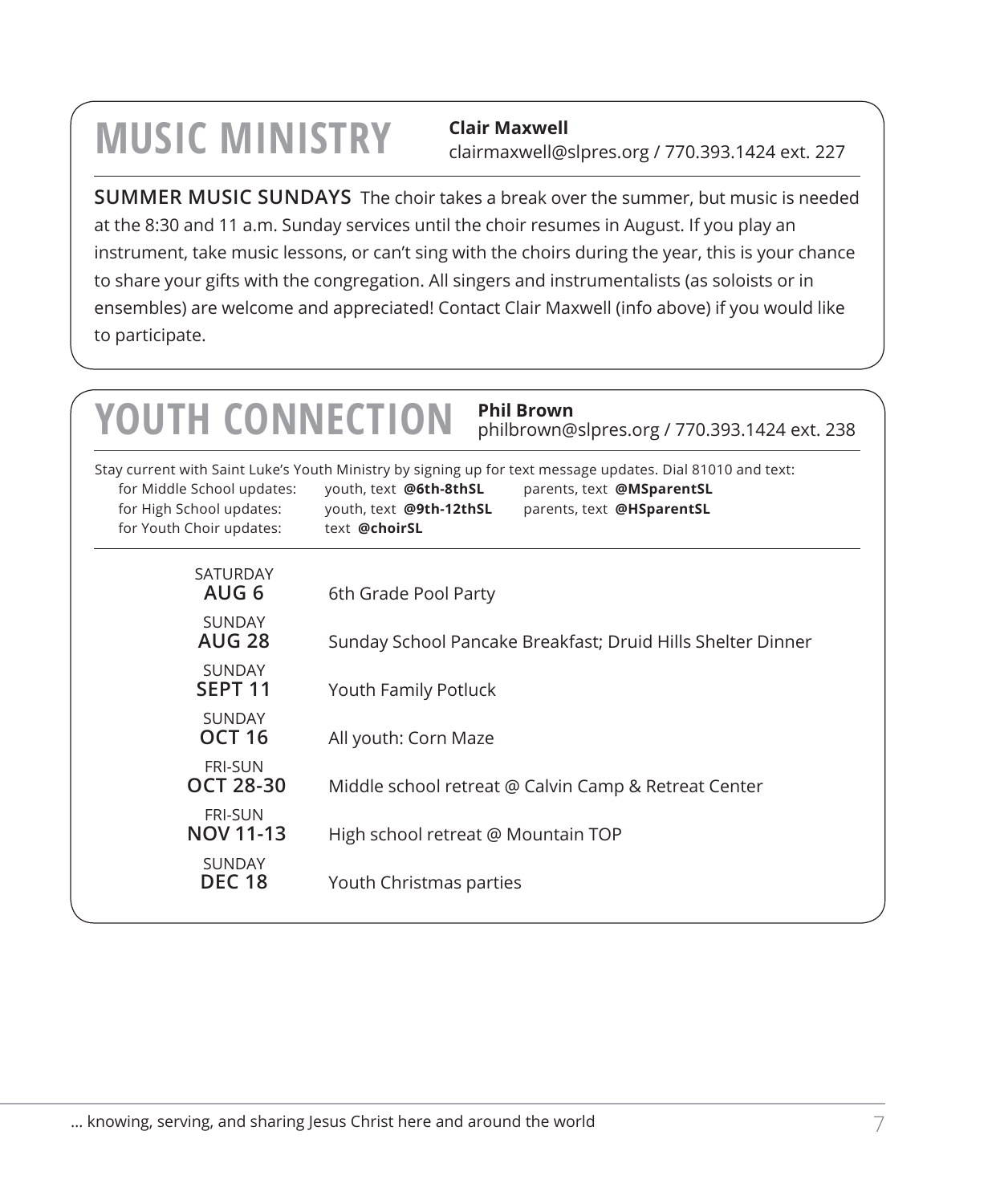# **MUSIC MINISTRY** Clair Maxwell

clairmaxwell@slpres.org / 770.393.1424 ext. 227

**SUMMER MUSIC SUNDAYS** The choir takes a break over the summer, but music is needed at the 8:30 and 11 a.m. Sunday services until the choir resumes in August. If you play an instrument, take music lessons, or can't sing with the choirs during the year, this is your chance to share your gifts with the congregation. All singers and instrumentalists (as soloists or in ensembles) are welcome and appreciated! Contact Clair Maxwell (info above) if you would like to participate.

| <b>YOUTH CONNECTION</b>                                                            | <b>Phil Brown</b><br>philbrown@slpres.org / 770.393.1424 ext. 238                                                                                                                                                                          |
|------------------------------------------------------------------------------------|--------------------------------------------------------------------------------------------------------------------------------------------------------------------------------------------------------------------------------------------|
| for Middle School updates:<br>for High School updates:<br>for Youth Choir updates: | Stay current with Saint Luke's Youth Ministry by signing up for text message updates. Dial 81010 and text:<br>youth, text @6th-8thSL<br>parents, text @MSparentSL<br>youth, text @9th-12thSL<br>parents, text @HSparentSL<br>text @choirSL |
| <b>SATURDAY</b><br>AUG 6                                                           | 6th Grade Pool Party                                                                                                                                                                                                                       |
| <b>SUNDAY</b><br><b>AUG 28</b>                                                     | Sunday School Pancake Breakfast; Druid Hills Shelter Dinner                                                                                                                                                                                |
| <b>SUNDAY</b><br>SEPT <sub>11</sub>                                                | Youth Family Potluck                                                                                                                                                                                                                       |
| <b>SUNDAY</b><br><b>OCT 16</b>                                                     | All youth: Corn Maze                                                                                                                                                                                                                       |
| <b>FRI-SUN</b><br>OCT 28-30                                                        | Middle school retreat @ Calvin Camp & Retreat Center                                                                                                                                                                                       |
| <b>FRI-SUN</b><br><b>NOV 11-13</b>                                                 | High school retreat @ Mountain TOP                                                                                                                                                                                                         |
| <b>SUNDAY</b><br><b>DEC 18</b>                                                     | Youth Christmas parties                                                                                                                                                                                                                    |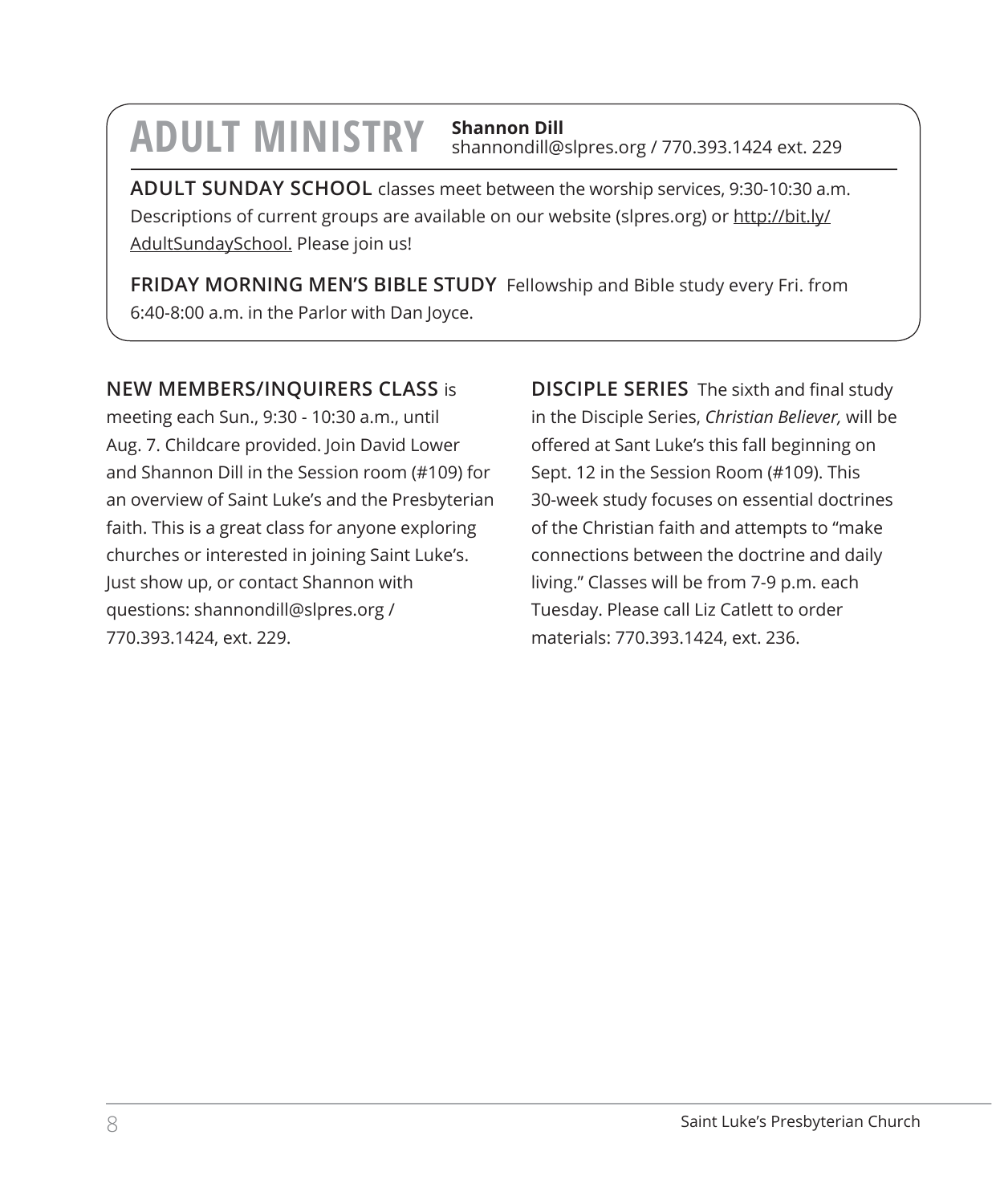# **ADULT MINISTRY Shannon Dill**

shannondill@slpres.org / 770.393.1424 ext. 229

**ADULT SUNDAY SCHOOL** classes meet between the worship services, 9:30-10:30 a.m. Descriptions of current groups are available on our website (slpres.org) or http://bit.ly/ AdultSundaySchool. Please join us!

**FRIDAY MORNING MEN'S BIBLE STUDY** Fellowship and Bible study every Fri. from 6:40-8:00 a.m. in the Parlor with Dan Joyce.

# **NEW MEMBERS/INQUIRERS CLASS** is

meeting each Sun., 9:30 - 10:30 a.m., until Aug. 7. Childcare provided. Join David Lower and Shannon Dill in the Session room (#109) for an overview of Saint Luke's and the Presbyterian faith. This is a great class for anyone exploring churches or interested in joining Saint Luke's. Just show up, or contact Shannon with questions: shannondill@slpres.org / 770.393.1424, ext. 229.

**DISCIPLE SERIES** The sixth and final study in the Disciple Series, *Christian Believer,* will be offered at Sant Luke's this fall beginning on Sept. 12 in the Session Room (#109). This 30-week study focuses on essential doctrines of the Christian faith and attempts to "make connections between the doctrine and daily living." Classes will be from 7-9 p.m. each Tuesday. Please call Liz Catlett to order materials: 770.393.1424, ext. 236.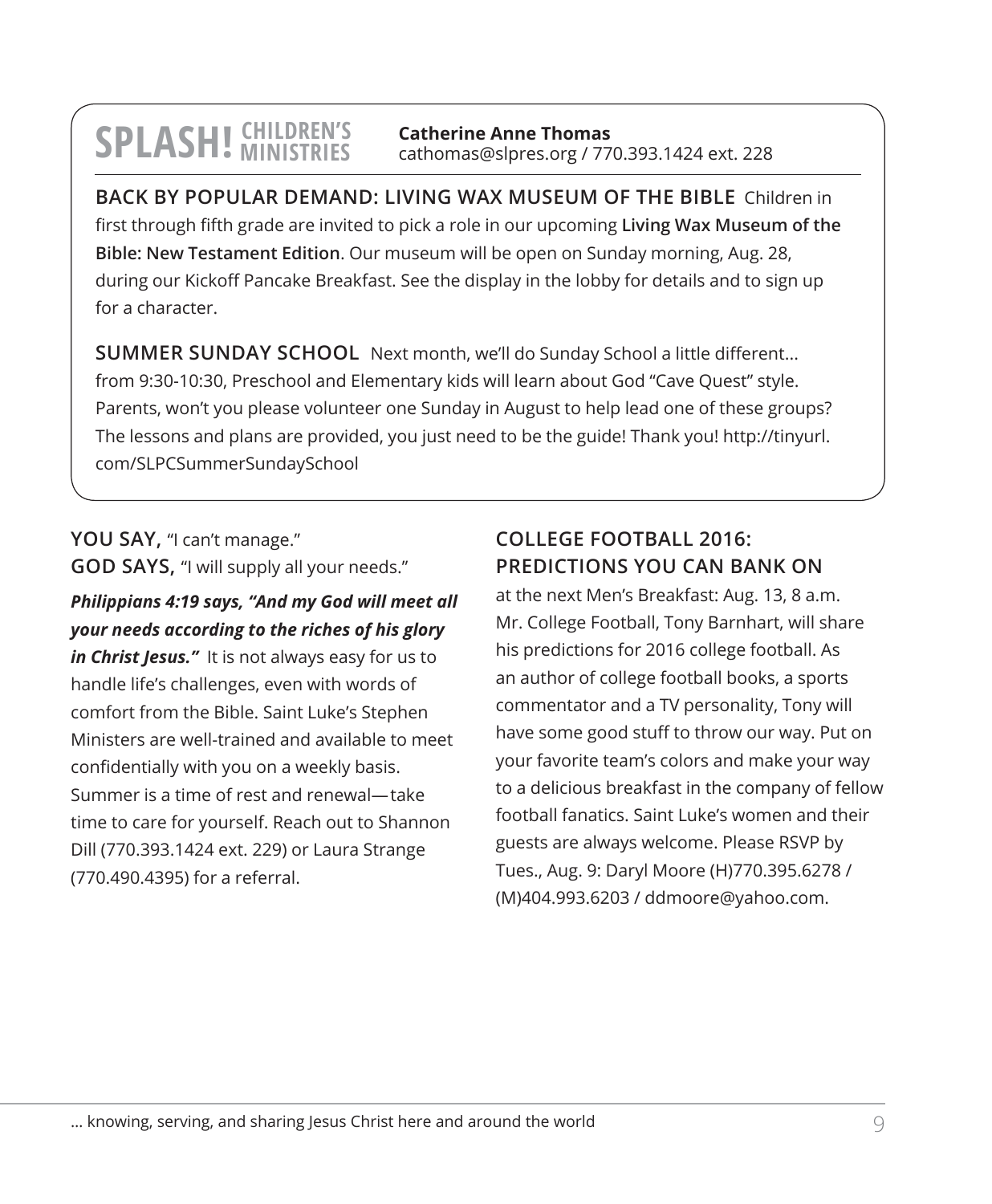#### **SPLASH! CHILDREN'S MINISTRIES Catherine Anne Thomas** cathomas@slpres.org / 770.393.1424 ext. 228

**BACK BY POPULAR DEMAND: LIVING WAX MUSEUM OF THE BIBLE** Children in first through fifth grade are invited to pick a role in our upcoming **Living Wax Museum of the Bible: New Testament Edition**. Our museum will be open on Sunday morning, Aug. 28, during our Kickoff Pancake Breakfast. See the display in the lobby for details and to sign up for a character.

**SUMMER SUNDAY SCHOOL** Next month, we'll do Sunday School a little different... from 9:30-10:30, Preschool and Elementary kids will learn about God "Cave Quest" style. Parents, won't you please volunteer one Sunday in August to help lead one of these groups? The lessons and plans are provided, you just need to be the guide! Thank you! http://tinyurl. com/SLPCSummerSundaySchool

# YOU SAY, "I can't manage." **GOD SAYS,** "I will supply all your needs."

# *Philippians 4:19 says, "And my God will meet all your needs according to the riches of his glory*

*in Christ Jesus."* It is not always easy for us to handle life's challenges, even with words of comfort from the Bible. Saint Luke's Stephen Ministers are well-trained and available to meet confidentially with you on a weekly basis. Summer is a time of rest and renewal—take time to care for yourself. Reach out to Shannon Dill (770.393.1424 ext. 229) or Laura Strange (770.490.4395) for a referral.

# **COLLEGE FOOTBALL 2016: PREDICTIONS YOU CAN BANK ON**

at the next Men's Breakfast: Aug. 13, 8 a.m. Mr. College Football, Tony Barnhart, will share his predictions for 2016 college football. As an author of college football books, a sports commentator and a TV personality, Tony will have some good stuff to throw our way. Put on your favorite team's colors and make your way to a delicious breakfast in the company of fellow football fanatics. Saint Luke's women and their guests are always welcome. Please RSVP by Tues., Aug. 9: Daryl Moore (H)770.395.6278 / (M)404.993.6203 / ddmoore@yahoo.com.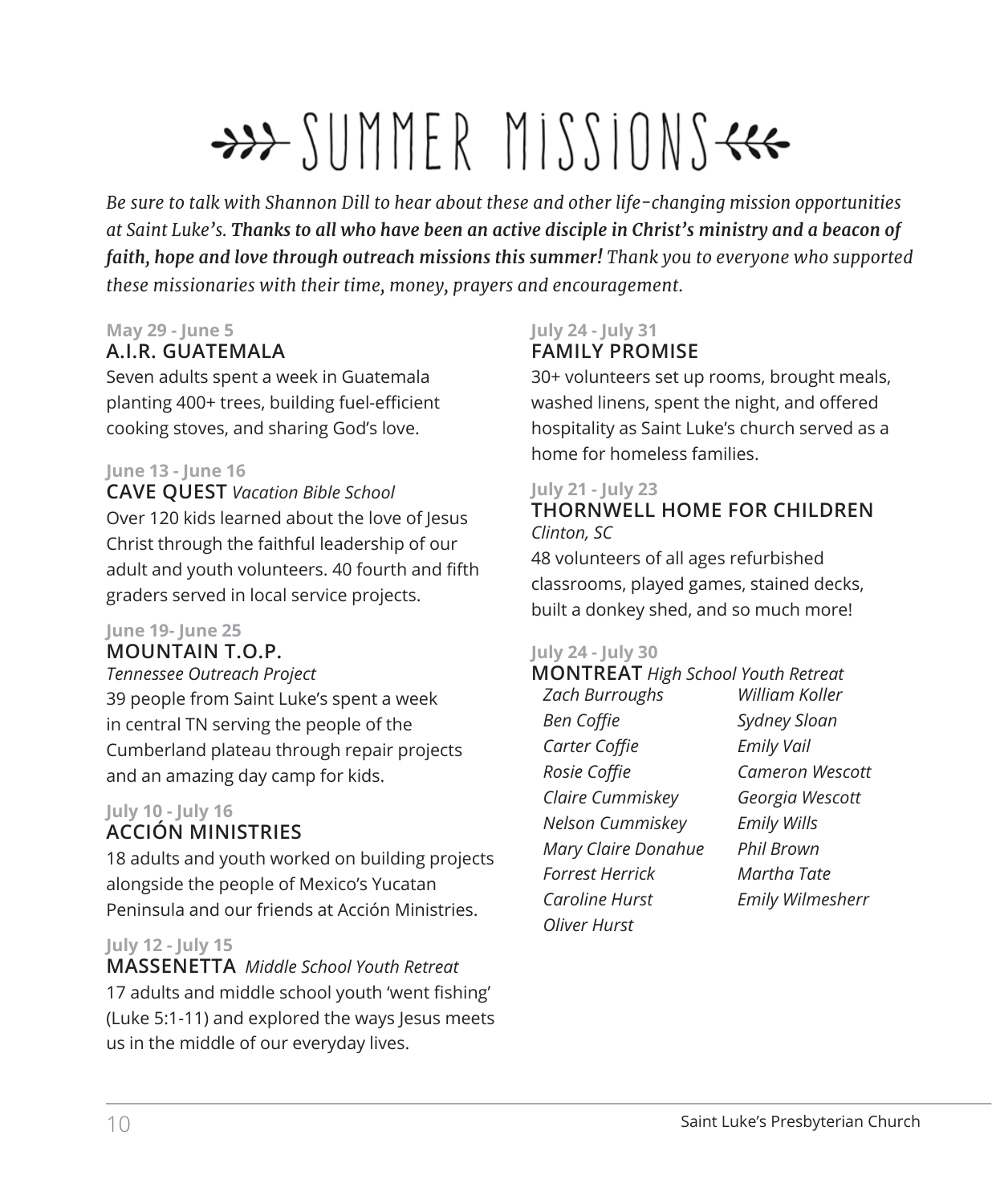# $\rightarrow$  SUMMER MISSIONS $\leftarrow$

*Be sure to talk with Shannon Dill to hear about these and other life-changing mission opportunities at Saint Luke's. Thanks to all who have been an active disciple in Christ's ministry and a beacon of faith, hope and love through outreach missions this summer! Thank you to everyone who supported these missionaries with their time, money, prayers and encouragement.* 

### **May 29 - June 5**

# **A.I.R. GUATEMALA**

Seven adults spent a week in Guatemala planting 400+ trees, building fuel-efficient cooking stoves, and sharing God's love.

### **June 13 - June 16**

**CAVE QUEST** *Vacation Bible School* Over 120 kids learned about the love of Jesus Christ through the faithful leadership of our adult and youth volunteers. 40 fourth and fifth graders served in local service projects.

### **June 19- June 25**

### **MOUNTAIN T.O.P.**

*Tennessee Outreach Project* 39 people from Saint Luke's spent a week in central TN serving the people of the Cumberland plateau through repair projects and an amazing day camp for kids.

### **July 10 - July 16 ACCIÓN MINISTRIES**

18 adults and youth worked on building projects alongside the people of Mexico's Yucatan Peninsula and our friends at Acción Ministries.

# **July 12 - July 15**

**MASSENETTA** *Middle School Youth Retreat* 17 adults and middle school youth 'went fishing' (Luke 5:1-11) and explored the ways Jesus meets us in the middle of our everyday lives.

# **July 24 - July 31 FAMILY PROMISE**

30+ volunteers set up rooms, brought meals, washed linens, spent the night, and offered hospitality as Saint Luke's church served as a home for homeless families.

### **July 21 - July 23 THORNWELL HOME FOR CHILDREN** *Clinton, SC*

48 volunteers of all ages refurbished classrooms, played games, stained decks, built a donkey shed, and so much more!

### **July 24 - July 30**

#### **MONTREAT** *High School Youth Retreat Zach Burroughs Ben Coffie Carter Coffie Rosie Coffie Claire Cummiskey Nelson Cummiskey Mary Claire Donahue Forrest Herrick Caroline Hurst Oliver Hurst William Koller Sydney Sloan Emily Vail Cameron Wescott Georgia Wescott Emily Wills Phil Brown Martha Tate Emily Wilmesherr*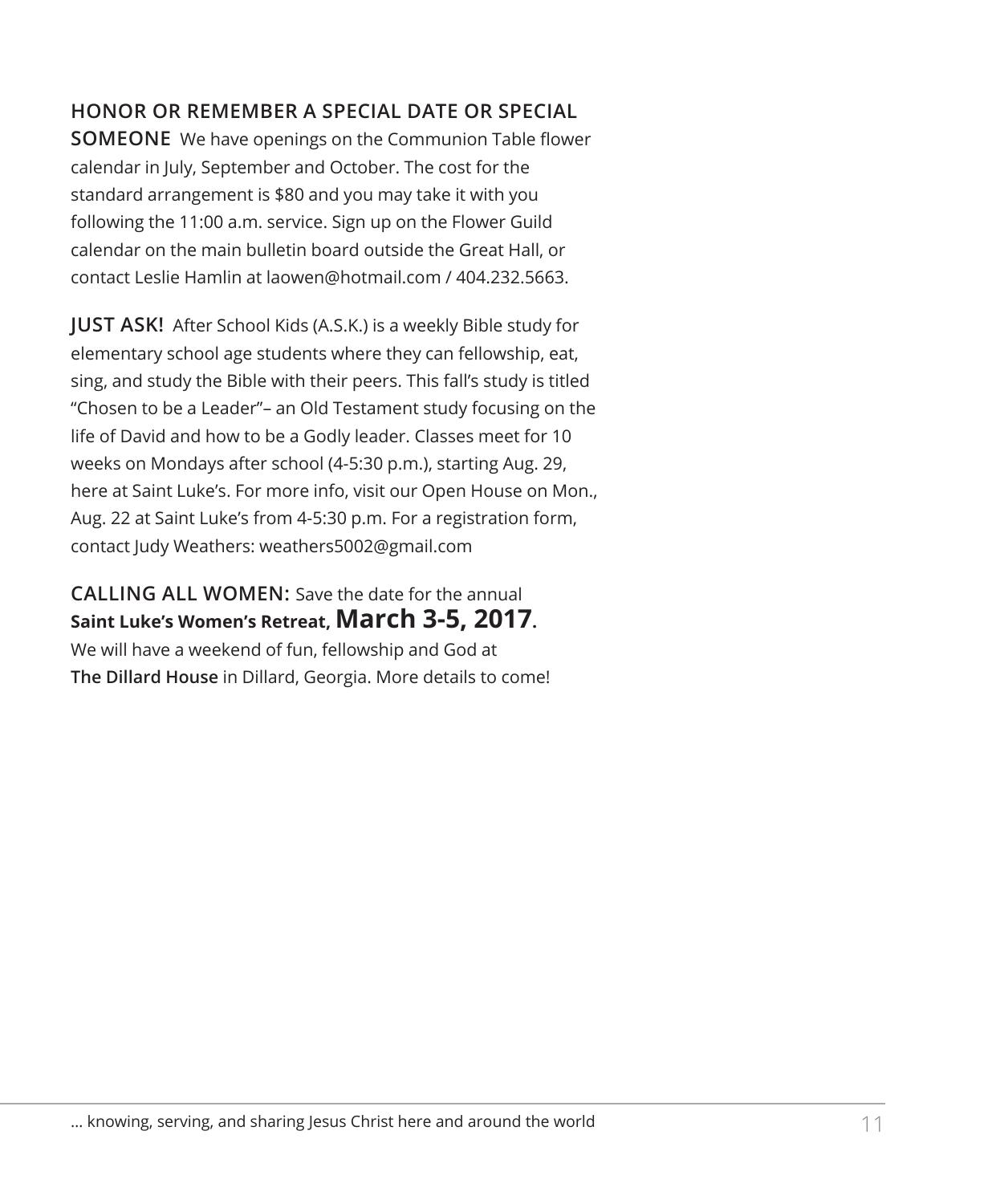# **HONOR OR REMEMBER A SPECIAL DATE OR SPECIAL**

**SOMEONE** We have openings on the Communion Table flower calendar in July, September and October. The cost for the standard arrangement is \$80 and you may take it with you following the 11:00 a.m. service. Sign up on the Flower Guild calendar on the main bulletin board outside the Great Hall, or contact Leslie Hamlin at laowen@hotmail.com / 404.232.5663.

**JUST ASK!** After School Kids (A.S.K.) is a weekly Bible study for elementary school age students where they can fellowship, eat, sing, and study the Bible with their peers. This fall's study is titled "Chosen to be a Leader"– an Old Testament study focusing on the life of David and how to be a Godly leader. Classes meet for 10 weeks on Mondays after school (4-5:30 p.m.), starting Aug. 29, here at Saint Luke's. For more info, visit our Open House on Mon., Aug. 22 at Saint Luke's from 4-5:30 p.m. For a registration form, contact Judy Weathers: weathers5002@gmail.com

# **CALLING ALL WOMEN:** Save the date for the annual **Saint Luke's Women's Retreat, March 3-5, 2017.**

We will have a weekend of fun, fellowship and God at **The Dillard House** in Dillard, Georgia. More details to come!